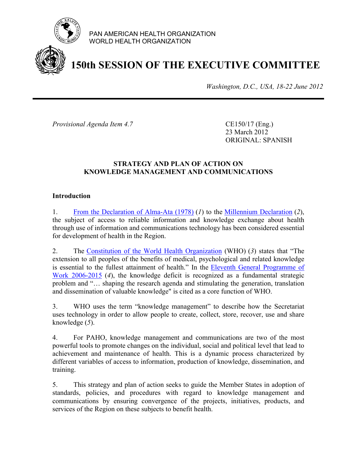

PAN AMERICAN HEALTH ORGANIZATION WORLD HEALTH ORGANIZATION

# **150th SESSION OF THE EXECUTIVE COMMITTEE**

*Washington, D.C., USA, 18-22 June 2012*

*Provisional Agenda Item 4.7* CE150/17 (Eng.)

23 March 2012 ORIGINAL: SPANISH

# **STRATEGY AND PLAN OF ACTION ON KNOWLEDGE MANAGEMENT AND COMMUNICATIONS**

# **Introduction**

1. [From the Declaration of Alma-Ata \(1978\)](http://www.paho.org/english/dd/pin/alma-ata_declaration.htm) (*1*) to the [Millennium Declaration](http://www.un.org/millennium/declaration/ares552e.htm) (*2*), the subject of access to reliable information and knowledge exchange about health through use of information and communications technology has been considered essential for development of health in the Region.

2. The [Constitution of the World Health Organization](http://www.who.int/governance/eb/who_constitution_en.pdf) (WHO) (*3*) states that "The extension to all peoples of the benefits of medical, psychological and related knowledge is essential to the fullest attainment of health." In the Eleventh General Programme of Work 2006-2015 (*4*), [the knowledge deficit is recognized as a fundamental strategic](http://whqlibdoc.who.int/publications/2006/GPW_eng.pdf) problem and "… shaping the research agenda and stimulating the generation, translation and dissemination of valuable knowledge" is cited as a core function of WHO.

3. WHO uses the term "knowledge management" to describe how the Secretariat uses technology in order to allow people to create, collect, store, recover, use and share knowledge (*5*).

4. For PAHO, knowledge management and communications are two of the most powerful tools to promote changes on the individual, social and political level that lead to achievement and maintenance of health. This is a dynamic process characterized by different variables of access to information, production of knowledge, dissemination, and training.

5. This strategy and plan of action seeks to guide the Member States in adoption of standards, policies, and procedures with regard to knowledge management and communications by ensuring convergence of the projects, initiatives, products, and services of the Region on these subjects to benefit health.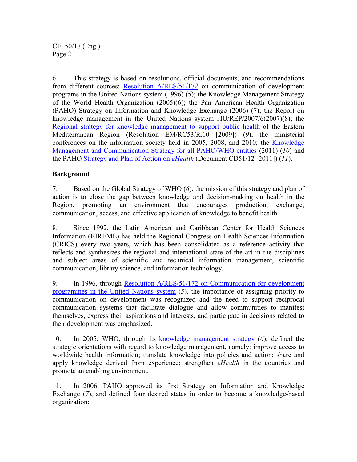6. This strategy is based on resolutions, official documents, and recommendations from different sources: Resolution A/RES/51/172 on communication of development programs in the United Nations system (1996) (5); the Knowledge Management Strategy of the World Health [Organization \(2005\)\(6\); the Pan American Health Organization](http://www.worldlii.org/int/other/UNGARsn/1996/231.pdf) (PAHO) Strategy on Information and Knowledge Exchange (2006) (7); the Report on [knowledge management in the United Nations system JIU/REP/2007/6\(2007\)\(8\); the](http://www.unjiu.org/data/reports/2007/en2007_06.pdf) Regional strategy for knowledge management to support public health of the Eastern Mediterranean Region (Resolution EM/RC53/R.10 [2009]) (*9*); the ministerial conferences on the information society [held in 2005, 2008, and 2010; the Knowledge](http://www.emro.who.int/dsaf/dsa999.pdf) [Management and Communication Strategy for all PAHO/WHO](http://boletim.bireme.org/files/9/3/041012502011/KMC4aPE Strategy 2011 -version 11-March 7- 2011.pdf) entities (2011) (*10*) and the PAHO Strategy and Plan of Action on *eHealth* (Document CD51/12 [2011]) (*11*).

# **Background**

7. Based on the Global Strategy of WHO (*6*), the mission of this strategy and plan of action is to close the gap between knowledge and decision-making on health in the Region, promoting an environment that encourages production, exchange, communication, access, and effective application of knowledge to benefit health.

8. Since 1992, the Latin American and Caribbean Center for Health Sciences Information (BIREME) has held the Regional Congress on Health Sciences Information (CRICS) every two years, which has been consolidated as a reference activity that reflects and synthesizes the regional and international state of the art in the disciplines and subject areas of scientific and technical information management, scientific communication, library science, and information technology.

9. [In 1996, through Resolution A/RES/51/172 on Communication for development](http://www.un.org/depts/dhl/resguide/r51.htm) programmes in the United Nations system (*5*), the importance of assigning priority to communication on development was recognized and the need to support reciprocal communication systems that facilitate dialogue and allow communities to manifest themselves, express their aspirations and interests, and participate in decisions related to their development was emphasized.

10. In 2005, WHO, through its [knowledge management strategy](http://www.who.int/kms/about/strategy/kms_strategy.pdf) (*6*), defined the strategic orientations with regard to knowledge management, namely: improve access to worldwide health information; translate knowledge into policies and action; share and apply knowledge derived from experience; strengthen *eHealth* in the countries and promote an enabling environment.

11. In 2006, PAHO approved its first Strategy on Information and Knowledge Exchange (*7*), and defined four desired states in order to become a knowledge-based organization: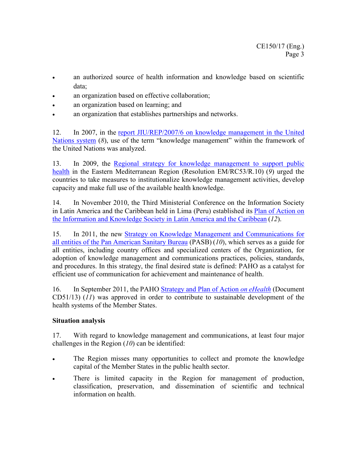- an authorized source of health information and knowledge based on scientific data;
- an organization based on effective collaboration;
- an organization based on learning; and
- an organization that establishes partnerships and networks.

12. In 2007, in the report JIU/REP/2007/6 on knowledge management in the United Nations system (*8*), [use of the term "knowledge management" within the framework of](http://www.unjiu.org/data/reports/2007/en2007_06.pdf)  the United Nations was analyzed.

13. In 2009, the Regional strategy for knowledge management to support public health [in the Eastern Mediterranean Region \(Resolution](http://www.emro.who.int/dsaf/dsa999.pdf) EM/RC53/R.10) (*9*) urged the countries to take measures to institutionalize knowledge management activities, develop capacity and make full use of the available health knowledge.

14. In November 2010, the Third Ministerial Conference on the Information Society [in Latin America and the Caribbean held in Lima \(Peru\) established its](http://www.eclac.cl/cgi-bin/getProd.asp?xml=/publicaciones/xml/0/44450/P44450.xml&xsl=/dds/tpl/p9f.xsl&base=/dds/tpl/top-bottom.xslt) Plan of Action on the Information and Knowledge Society in Latin America and the Caribbean (*12*).

15. In 2011, the new [Strategy on Knowledge Management and Communications](https://intranet.paho.org/kmc/intranet/Documents/KMC Strategy/Estrategia KMC %28spanish%29.pdf) for all entities of the Pan American Sanitary Bureau (PASB) (*10*), which serves as a guide for all entities, including country offices and specialized centers of the Organization, for adoption of knowledge management and communications practices, policies, standards, and procedures. In this strategy, the final desired state is defined: PAHO as a catalyst for efficient use of communication for achievement and maintenance of health.

16. In September 2011, the [PAHO Strategy and Plan of Action](http://new.paho.org/hq/index.php?option=com_docman&task=doc_download&gid=14572&Itemid=) *on eHealth* (Document CD51/13) (*11*) was approved in order to contribute to sustainable development of the health systems of the Member States.

# **Situation analysis**

17. With regard to knowledge management and communications, at least four major challenges in the Region (*10*) can be identified:

- The Region misses many opportunities to collect and promote the knowledge capital of the Member States in the public health sector.
- There is limited capacity in the Region for management of production, classification, preservation, and dissemination of scientific and technical information on health.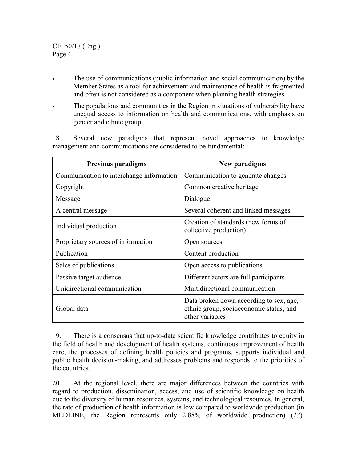- The use of communications (public information and social communication) by the Member States as a tool for achievement and maintenance of health is fragmented and often is not considered as a component when planning health strategies.
- The populations and communities in the Region in situations of vulnerability have unequal access to information on health and communications, with emphasis on gender and ethnic group.

18. Several new paradigms that represent novel approaches to knowledge management and communications are considered to be fundamental:

| <b>Previous paradigms</b>                | New paradigms                                                                                         |
|------------------------------------------|-------------------------------------------------------------------------------------------------------|
| Communication to interchange information | Communication to generate changes                                                                     |
| Copyright                                | Common creative heritage                                                                              |
| Message                                  | Dialogue                                                                                              |
| A central message                        | Several coherent and linked messages                                                                  |
| Individual production                    | Creation of standards (new forms of<br>collective production)                                         |
| Proprietary sources of information       | Open sources                                                                                          |
| Publication                              | Content production                                                                                    |
| Sales of publications                    | Open access to publications                                                                           |
| Passive target audience                  | Different actors are full participants                                                                |
| Unidirectional communication             | Multidirectional communication                                                                        |
| Global data                              | Data broken down according to sex, age,<br>ethnic group, socioeconomic status, and<br>other variables |

19. There is a consensus that up-to-date scientific knowledge contributes to equity in the field of health and development of health systems, continuous improvement of health care, the processes of defining health policies and programs, supports individual and public health decision-making, and addresses problems and responds to the priorities of the countries.

20. At the regional level, there are major differences between the countries with regard to production, dissemination, access, and use of scientific knowledge on health due to the diversity of human resources, systems, and technological resources. In general, the rate of production of health information is low compared to worldwide production (in MEDLINE, the Region represents only 2.88% of worldwide production) (*13*).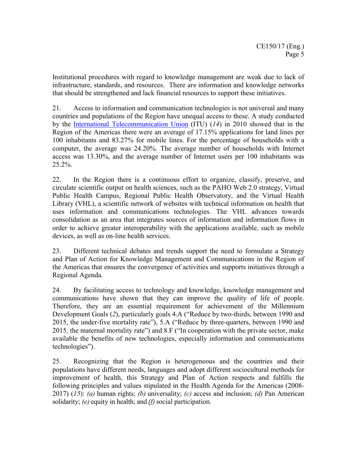Institutional procedures with regard to knowledge management are weak due to lack of infrastructure, standards, and resources. There are information and knowledge networks that should be strengthened and lack financial resources to support these initiatives.

21. Access to information and communication technologies is not universal and many countries and populations of the Region have unequal access to these. A study conducted by the [International Telecommunication](http://new.paho.org/blogs/kmc/wp-content/uploads/2011/03/tabla1.doc) Union (ITU) (*14*) in 2010 showed that in the Region of the Americas there were an average of 17.15% applications for land lines per 100 inhabitants and 83.27% for mobile lines. For the percentage of households with a computer, the average was 24.20%. The average number of households with Internet access was 13.30%, and the average number of Internet users per 100 inhabitants was 25.2%.

22. In the Region there is a continuous effort to organize, classify, preserve, and circulate scientific output on health sciences, such as the PAHO Web 2.0 strategy, Virtual Public Health Campus, Regional Public Health Observatory, and the Virtual Health Library (VHL), a scientific network of websites with technical information on health that uses information and communications technologies. The VHL advances towards consolidation as an area that integrates sources of information and information flows in order to achieve greater interoperability with the applications available, such as mobile devices, as well as on-line health services.

23. Different technical debates and trends support the need to formulate a Strategy and Plan of Action for Knowledge Management and Communications in the Region of the Americas that ensures the convergence of activities and supports initiatives through a Regional Agenda.

24. By facilitating access to technology and knowledge, knowledge management and communications have shown that they can improve the quality of life of people. Therefore, they are an essential requirement for achievement of the Millennium Development Goals (*2*), particularly goals 4.A ("Reduce by two-thirds, between 1990 and 2015, the under-five mortality rate"), 5.A ("Reduce by three-quarters, between 1990 and 2015, the maternal mortality rate") and 8.F ("In cooperation with the private sector, make available the benefits of new technologies, especially information and communications technologies").

25. Recognizing that the Region is heterogeneous and the countries and their populations have different needs, languages and adopt different sociocultural methods for improvement of health, this Strategy and Plan of Action respects and fulfills the following principles and values stipulated in the Health Agenda for the Americas (2008- 2017) (*15*): *(a)* human rights; *(b)* universality; *(c)* access and inclusion; *(d)* Pan American solidarity; *(e)* equity in health; and *(f)*social participation.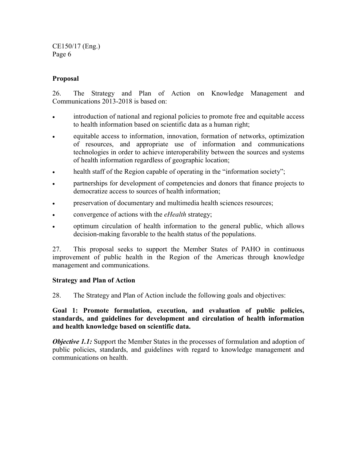CE150/17 (Eng.) Page 6

# **Proposal**

26. The Strategy and Plan of Action on Knowledge Management and Communications 2013-2018 is based on:

- introduction of national and regional policies to promote free and equitable access to health information based on scientific data as a human right;
- equitable access to information, innovation, formation of networks, optimization of resources, and appropriate use of information and communications technologies in order to achieve interoperability between the sources and systems of health information regardless of geographic location;
- health staff of the Region capable of operating in the "information society";
- partnerships for development of competencies and donors that finance projects to democratize access to sources of health information;
- preservation of documentary and multimedia health sciences resources;
- convergence of actions with the *eHealth* strategy;
- optimum circulation of health information to the general public, which allows decision-making favorable to the health status of the populations.

27. This proposal seeks to support the Member States of PAHO in continuous improvement of public health in the Region of the Americas through knowledge management and communications.

# **Strategy and Plan of Action**

28. The Strategy and Plan of Action include the following goals and objectives:

**Goal 1: Promote formulation, execution, and evaluation of public policies, standards, and guidelines for development and circulation of health information and health knowledge based on scientific data.**

*Objective 1.1:* Support the Member States in the processes of formulation and adoption of public policies, standards, and guidelines with regard to knowledge management and communications on health.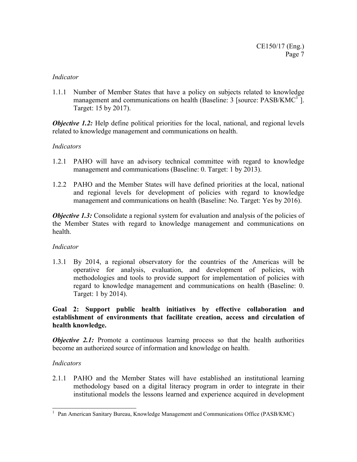## *Indicator*

1.1.1 Number of Member States that have a policy on subjects related to knowledge management and communications on health (Baseline:  $3$  [source: PASB/KMC<sup>1</sup>]. Target: 15 by 2017).

*Objective 1.2:* Help define political priorities for the local, national, and regional levels related to knowledge management and communications on health.

# *Indicators*

- 1.2.1 PAHO will have an advisory technical committee with regard to knowledge management and communications (Baseline: 0. Target: 1 by 2013).
- 1.2.2 PAHO and the Member States will have defined priorities at the local, national and regional levels for development of policies with regard to knowledge management and communications on health (Baseline: No. Target: Yes by 2016).

*Objective 1.3:* Consolidate a regional system for evaluation and analysis of the policies of the Member States with regard to knowledge management and communications on health.

# *Indicator*

1.3.1 By 2014, a regional observatory for the countries of the Americas will be operative for analysis, evaluation, and development of policies, with methodologies and tools to provide support for implementation of policies with regard to knowledge management and communications on health (Baseline: 0. Target: 1 by 2014).

# **Goal 2: Support public health initiatives by effective collaboration and establishment of environments that facilitate creation, access and circulation of health knowledge.**

*Objective* 2.1: Promote a continuous learning process so that the health authorities become an authorized source of information and knowledge on health.

# *Indicators*

2.1.1 PAHO and the Member States will have established an institutional learning methodology based on a digital literacy program in order to integrate in their institutional models the lessons learned and experience acquired in development

<sup>&</sup>lt;sup>1</sup> Pan American Sanitary Bureau, Knowledge Management and Communications Office (PASB/KMC)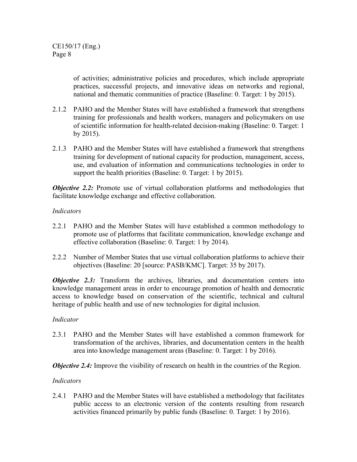of activities; administrative policies and procedures, which include appropriate practices, successful projects, and innovative ideas on networks and regional, national and thematic communities of practice (Baseline: 0. Target: 1 by 2015).

- 2.1.2 PAHO and the Member States will have established a framework that strengthens training for professionals and health workers, managers and policymakers on use of scientific information for health-related decision-making (Baseline: 0. Target: 1 by 2015).
- 2.1.3 PAHO and the Member States will have established a framework that strengthens training for development of national capacity for production, management, access, use, and evaluation of information and communications technologies in order to support the health priorities (Baseline: 0. Target: 1 by 2015).

*Objective* 2.2: Promote use of virtual collaboration platforms and methodologies that facilitate knowledge exchange and effective collaboration.

# *Indicators*

- 2.2.1 PAHO and the Member States will have established a common methodology to promote use of platforms that facilitate communication, knowledge exchange and effective collaboration (Baseline: 0. Target: 1 by 2014).
- 2.2.2 Number of Member States that use virtual collaboration platforms to achieve their objectives (Baseline: 20 [source: PASB/KMC]. Target: 35 by 2017).

*Objective* 2.3: Transform the archives, libraries, and documentation centers into knowledge management areas in order to encourage promotion of health and democratic access to knowledge based on conservation of the scientific, technical and cultural heritage of public health and use of new technologies for digital inclusion.

# *Indicator*

2.3.1 PAHO and the Member States will have established a common framework for transformation of the archives, libraries, and documentation centers in the health area into knowledge management areas (Baseline: 0. Target: 1 by 2016).

*Objective* 2.4: Improve the visibility of research on health in the countries of the Region.

# *Indicators*

2.4.1 PAHO and the Member States will have established a methodology that facilitates public access to an electronic version of the contents resulting from research activities financed primarily by public funds (Baseline: 0. Target: 1 by 2016).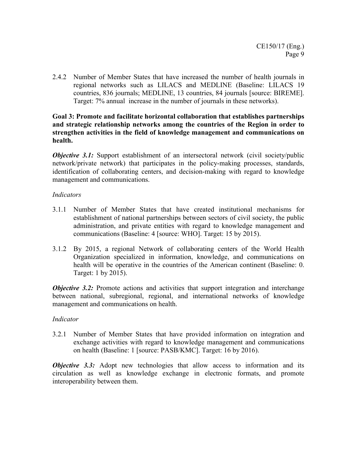2.4.2 Number of Member States that have increased the number of health journals in regional networks such as LILACS and MEDLINE (Baseline: LILACS 19 countries, 836 journals; MEDLINE, 13 countries, 84 journals [source: BIREME]. Target: 7% annual increase in the number of journals in these networks).

# **Goal 3: Promote and facilitate horizontal collaboration that establishes partnerships and strategic relationship networks among the countries of the Region in order to strengthen activities in the field of knowledge management and communications on health.**

*Objective 3.1:* Support establishment of an intersectoral network (civil society/public network/private network) that participates in the policy-making processes, standards, identification of collaborating centers, and decision-making with regard to knowledge management and communications.

# *Indicators*

- 3.1.1 Number of Member States that have created institutional mechanisms for establishment of national partnerships between sectors of civil society, the public administration, and private entities with regard to knowledge management and communications (Baseline: 4 [source: WHO]. Target: 15 by 2015).
- 3.1.2 By 2015, a regional Network of collaborating centers of the World Health Organization specialized in information, knowledge, and communications on health will be operative in the countries of the American continent (Baseline: 0. Target: 1 by 2015).

*Objective* 3.2: Promote actions and activities that support integration and interchange between national, subregional, regional, and international networks of knowledge management and communications on health.

# *Indicator*

3.2.1 Number of Member States that have provided information on integration and exchange activities with regard to knowledge management and communications on health (Baseline: 1 [source: PASB/KMC]. Target: 16 by 2016).

*Objective* 3.3: Adopt new technologies that allow access to information and its circulation as well as knowledge exchange in electronic formats, and promote interoperability between them.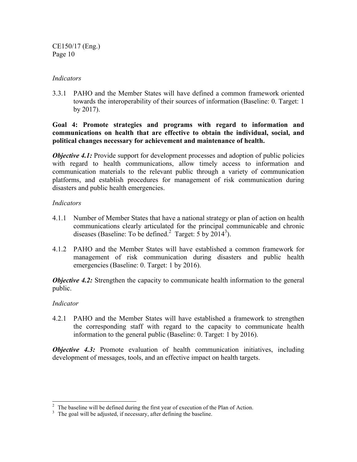CE150/17 (Eng.) Page 10

## *Indicators*

3.3.1 PAHO and the Member States will have defined a common framework oriented towards the interoperability of their sources of information (Baseline: 0. Target: 1 by 2017).

# **Goal 4: Promote strategies and programs with regard to information and communications on health that are effective to obtain the individual, social, and political changes necessary for achievement and maintenance of health.**

*Objective 4.1:* Provide support for development processes and adoption of public policies with regard to health communications, allow timely access to information and communication materials to the relevant public through a variety of communication platforms, and establish procedures for management of risk communication during disasters and public health emergencies.

# *Indicators*

- 4.1.1 Number of Member States that have a national strategy or plan of action on health communications clearly articulated for the principal communicable and chronic diseases (Baseline: To be defined.<sup>2</sup> Target:  $\frac{1}{5}$  by 2014<sup>3</sup>).
- 4.1.2 PAHO and the Member States will have established a common framework for management of risk communication during disasters and public health emergencies (Baseline: 0. Target: 1 by 2016).

*Objective 4.2:* Strengthen the capacity to communicate health information to the general public.

# *Indicator*

 $\overline{a}$ 

4.2.1 PAHO and the Member States will have established a framework to strengthen the corresponding staff with regard to the capacity to communicate health information to the general public (Baseline: 0. Target: 1 by 2016).

*Objective* 4.3: Promote evaluation of health communication initiatives, including development of messages, tools, and an effective impact on health targets.

 $2<sup>2</sup>$  The baseline will be defined during the first year of execution of the Plan of Action.

<sup>&</sup>lt;sup>3</sup> The goal will be adjusted, if necessary, after defining the baseline.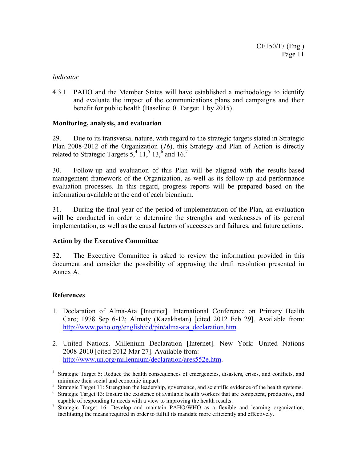## *Indicator*

4.3.1 PAHO and the Member States will have established a methodology to identify and evaluate the impact of the communications plans and campaigns and their benefit for public health (Baseline: 0. Target: 1 by 2015).

# **Monitoring, analysis, and evaluation**

29. Due to its transversal nature, with regard to the strategic targets stated in Strategic Plan 2008-2012 of the Organization (*16*), this Strategy and Plan of Action is directly related to Strategic Targets  $5^{4}$ , 11,  $5^{5}$  13,  $6^{6}$  and 16.<sup>7</sup>

30. Follow-up and evaluation of this Plan will be aligned with the results-based management framework of the Organization, as well as its follow-up and performance evaluation processes. In this regard, progress reports will be prepared based on the information available at the end of each biennium.

31. During the final year of the period of implementation of the Plan, an evaluation will be conducted in order to determine the strengths and weaknesses of its general implementation, as well as the causal factors of successes and failures, and future actions.

# **Action by the Executive Committee**

32. The Executive Committee is asked to review the information provided in this document and consider the possibility of approving the draft resolution presented in Annex A.

# **References**

- 1. Declaration of Alma-Ata [Internet]. International Conference on Primary Health Care; 1978 Sep 6-12; Almaty (Kazakhstan) [cited 2012 Feb 29]. Available from: [http://www.paho.org/english/dd/pin/alma-ata\\_declaration.htm.](http://www.paho.org/english/dd/pin/alma-ata_declaration.htm)
- 2. United Nations. Millenium Declaration [Internet]. New York: United Nations 2008-2010 [cited 2012 Mar 27]. Available from: [http://www.un.org/millennium/declaration/ares552e.htm.](http://www.un.org/millennium/declaration/ares552e.htm)

 4 Strategic Target 5: Reduce the health consequences of emergencies, disasters, crises, and conflicts, and minimize their social and economic impact.

<sup>&</sup>lt;sup>5</sup> Strategic Target 11: Strengthen the leadership, governance, and scientific evidence of the health systems.

<sup>&</sup>lt;sup>6</sup> Strategic Target 13: Ensure the existence of available health workers that are competent, productive, and capable of responding to needs with a view to improving the health results.

<sup>7</sup> Strategic Target 16: Develop and maintain PAHO/WHO as a flexible and learning organization, facilitating the means required in order to fulfill its mandate more efficiently and effectively.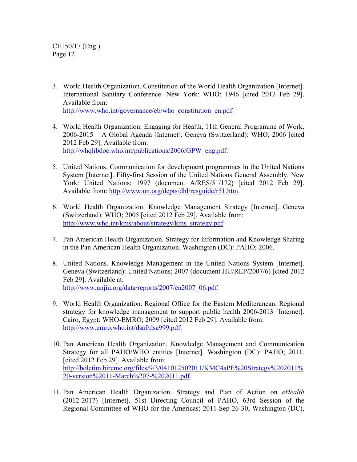3. World Health Organization. Constitution of the World Health Organization [Internet]. International Sanitary Conference. New York: WHO; 1946 [cited 2012 Feb 29]. Available from:

http://www.who.int/governance/eb/who\_constitution\_en.pdf.

- 4. World Health Organization. Engaging for Health, 11th General Programme of Work, 2006-2015 – A Global Agenda [Internet]. Geneva (Switzerland): WHO; 2006 [cited 2012 Feb 29]. Available from: [http://whqlibdoc.who.int/publications/2006/GPW\\_eng.pdf.](http://whqlibdoc.who.int/publications/2006/GPW_eng.pdf)
- 5. United Nations. Communication for development programmes in the United Nations System [Internet]. Fifty-first Session of the United Nations General Assembly. New York: United Nations; 1997 (document A/RES/51/172) [cited 2012 Feb 29]. Available from: [http://www.un.org/depts/dhl/resguide/r51.htm.](http://www.un.org/depts/dhl/resguide/r51.htm)
- 6. World Health Organization. Knowledge Management Strategy [Internet]. Geneva (Switzerland): WHO; 2005 [cited 2012 Feb 29]. Available from: [http://www.who.int/kms/about/strategy/kms\\_strategy.pdf.](http://www.who.int/kms/about/strategy/kms_strategy.pdf)
- 7. Pan American Health Organization. Strategy for Information and Knowledge Sharing in the Pan American Health Organization. Washington (DC): PAHO; 2006.
- 8. United Nations. Knowledge Management in the United Nations System [Internet]. Geneva (Switzerland): United Nations; 2007 (document JIU/REP/2007/6) [cited 2012 Feb 29]. Available at: http://www.unjiu.org/data/reports/2007/en2007\_06.pdf.
- 9. World Health Organization. Regional Office for the Eastern Mediteranean. Regional strategy for knowledge management to support public health 2006-2013 [Internet]. Cairo, Egypt: WHO-EMRO; 2009 [cited 2012 Feb 29]. Available from: [http://www.emro.who.int/dsaf/dsa999.pdf.](http://www.emro.who.int/dsaf/dsa999.pdf)
- 10. Pan American Health Organization. Knowledge Management and Communication Strategy for all PAHO/WHO entities [Internet]. Washington (DC): PAHO; 2011. [cited 2012 Feb 29]. Available from: [http://boletim.bireme.org/files/9/3/041012502011/KMC4aPE%20Strategy%202011%](http://boletim.bireme.org/files/9/3/041012502011/KMC4aPE Strategy 2011 -version 11-March 7- 2011.pdf) 20-version%2011-March%207-%202011.pdf.
- 11. Pan American Health Organization. Strategy and Plan of Action on *eHealth* (2012-2017) [Internet]. 51st Directing Council of PAHO, 63rd Session of the Regional Committee of WHO for the Americas; 2011 Sep 26-30; Washington (DC),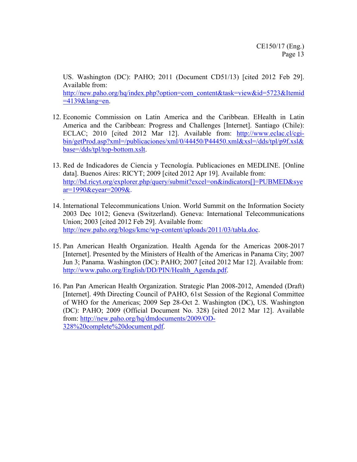US. Washington (DC): PAHO; 2011 (Document CD51/13) [cited 2012 Feb 29]. Available from: [http://new.paho.org/hq/index.php?option=com\\_content&task=view&id=5723&Itemid](http://new.paho.org/hq/index.php?option=com_content&task=view&id=5723&Itemid=4139&lang=en)  $=4139\&$ lang=en.

- 12. Economic Commission on Latin America and the Caribbean. EHealth in Latin America and the Caribbean: Progress and Challenges [Internet]. Santiago (Chile): ECLAC; 2010 [cited 2012 Mar 12]. Available from: http://www.eclac.cl/cgi[bin/getProd.asp?xml=/publicaciones/xml/0/44450/P44450.xml&xsl=/dds/tpl/p9f.xsl&](http://www.eclac.cl/cgi-bin/getProd.asp?xml=/publicaciones/xml/0/44450/P44450.xml&xsl=/dds/tpl/p9f.xsl&base=/dds/tpl/top-bottom.xslt) base=/dds/tpl/top-bottom.xslt.
- 13. Red de Indicadores de Ciencia y Tecnología. Publicaciones en MEDLINE. [Online data]. Buenos Aires: RICYT; 2009 [cited 2012 Apr 19]. Available from: [http://bd.ricyt.org/explorer.php/query/submit?excel=on&indicators\[\]=PUBMED&sye](http://bd.ricyt.org/explorer.php/query/submit?excel=on&indicators%5b%5d=PUBMED&syear=1990&eyear=2009&) ar=1990&eyear=2009&.
- 14. International Telecommunications Union. World Summit on the Information Society 2003 Dec 1012; Geneva (Switzerland). Geneva: International Telecommunications Union; 2003 [cited 2012 Feb 29]. Available from: [http://new.paho.org/blogs/kmc/wp-content/uploads/2011/03/tabla.doc.](http://new.paho.org/blogs/kmc/wp-content/uploads/2011/03/tabla.doc)

.

- 15. Pan American Health Organization. Health Agenda for the Americas 2008-2017 [Internet]. Presented by the Ministers of Health of the Americas in Panama City; 2007 Jun 3; Panama. Washington (DC): PAHO; 2007 [cited 2012 Mar 12]. Available from: [http://www.paho.org/English/DD/PIN/Health\\_Agenda.pdf.](http://www.paho.org/English/DD/PIN/Health_Agenda.pdf)
- 16. Pan Pan American Health Organization. Strategic Plan 2008-2012, Amended (Draft) [Internet]. 49th Directing Council of PAHO, 61st Session of the Regional Committee of WHO for the Americas; 2009 Sep 28-Oct 2. Washington (DC), US. Washington (DC): PAHO; 2009 (Official Document No. 328) [cited 2012 Mar 12]. Available from: [http://new.paho.org/hq/dmdocuments/2009/OD-](http://new.paho.org/hq/dmdocuments/2009/OD-328 complete document.pdf)328%20complete%20document.pdf.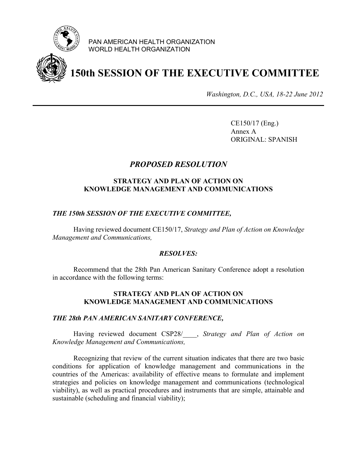

PAN AMERICAN HEALTH ORGANIZATION WORLD HEALTH ORGANIZATION

# **150th SESSION OF THE EXECUTIVE COMMITTEE**

*Washington, D.C., USA, 18-22 June 2012*

CE150/17 (Eng.) Annex A ORIGINAL: SPANISH

# *PROPOSED RESOLUTION*

# **STRATEGY AND PLAN OF ACTION ON KNOWLEDGE MANAGEMENT AND COMMUNICATIONS**

## *THE 150th SESSION OF THE EXECUTIVE COMMITTEE,*

Having reviewed document CE150/17, *Strategy and Plan of Action on Knowledge Management and Communications,*

## *RESOLVES:*

Recommend that the 28th Pan American Sanitary Conference adopt a resolution in accordance with the following terms:

# **STRATEGY AND PLAN OF ACTION ON KNOWLEDGE MANAGEMENT AND COMMUNICATIONS**

#### *THE 28th PAN AMERICAN SANITARY CONFERENCE,*

Having reviewed document CSP28/\_\_\_\_, *Strategy and Plan of Action on Knowledge Management and Communications,*

Recognizing that review of the current situation indicates that there are two basic conditions for application of knowledge management and communications in the countries of the Americas: availability of effective means to formulate and implement strategies and policies on knowledge management and communications (technological viability), as well as practical procedures and instruments that are simple, attainable and sustainable (scheduling and financial viability);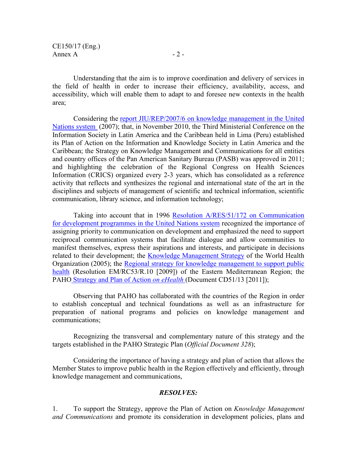CE150/17 (Eng.) Annex A  $-2$  -

Understanding that the aim is to improve coordination and delivery of services in the field of health in order to increase their efficiency, availability, access, and accessibility, which will enable them to adapt to and foresee new contexts in the health area;

Considering the report JIU/REP/2007/6 on knowledge management in the United Nations system (2007); [that, in November 2010, the Third Ministerial Conference on the](http://www.unjiu.org/data/reports/2007/en2007_06.pdf) Information Society in Latin America and the Caribbean held in Lima (Peru) established its Plan of Action on the Information and Knowledge Society in Latin America and the Caribbean; the Strategy on Knowledge Management and Communications for all entities and country offices of the Pan American Sanitary Bureau (PASB) was approved in 2011; and highlighting the celebration of the Regional Congress on Health Sciences Information (CRICS) organized every 2-3 years, which has consolidated as a reference activity that reflects and synthesizes the regional and international state of the art in the disciplines and subjects of management of scientific and technical information, scientific communication, library science, and information technology;

Taking into account that in 1996 Resolution A/RES/51/172 on Communication [for development programmes in the United Nations system](http://www.worldlii.org/int/other/UNGARsn/1996/231.pdf) recognized the importance of assigning priority to communication on development and emphasized the need to support reciprocal communication systems that facilitate dialogue and allow communities to manifest themselves, express their aspirations and interests, and participate in decisions related to their development; the [Knowledge Management Strategy](http://www.who.int/entity/kms/about/strategy/kms_strategy.pdf) of the World Health Organization (2005); the Regional strategy for knowledge management to support public health (Resolution EM/RC53/R.10 [2009]) of [the Eastern Mediterranean Region; the](http://www.emro.who.int/dsaf/dsa999.pdf) PAHO Strategy and Plan of Action *on eHealth* (Document CD51/13 [2011]);

Observing that PAHO has collaborated with the countries of the Region in order to establish conceptual and technical foundations as well as an infrastructure for preparation of national programs and policies on knowledge management and communications;

Recognizing the transversal and complementary nature of this strategy and the targets established in the PAHO Strategic Plan (*Official Document 328*);

Considering the importance of having a strategy and plan of action that allows the Member States to improve public health in the Region effectively and efficiently, through knowledge management and communications,

## *RESOLVES:*

1. To support the Strategy, approve the Plan of Action on *Knowledge Management and Communications* and promote its consideration in development policies, plans and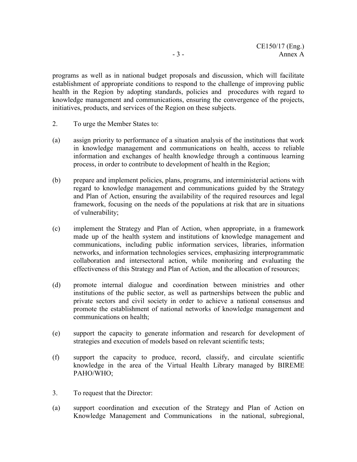programs as well as in national budget proposals and discussion, which will facilitate establishment of appropriate conditions to respond to the challenge of improving public health in the Region by adopting standards, policies and procedures with regard to knowledge management and communications, ensuring the convergence of the projects, initiatives, products, and services of the Region on these subjects.

- 2. To urge the Member States to:
- (a) assign priority to performance of a situation analysis of the institutions that work in knowledge management and communications on health, access to reliable information and exchanges of health knowledge through a continuous learning process, in order to contribute to development of health in the Region;
- (b) prepare and implement policies, plans, programs, and interministerial actions with regard to knowledge management and communications guided by the Strategy and Plan of Action, ensuring the availability of the required resources and legal framework, focusing on the needs of the populations at risk that are in situations of vulnerability;
- (c) implement the Strategy and Plan of Action, when appropriate, in a framework made up of the health system and institutions of knowledge management and communications, including public information services, libraries, information networks, and information technologies services, emphasizing interprogrammatic collaboration and intersectoral action, while monitoring and evaluating the effectiveness of this Strategy and Plan of Action, and the allocation of resources;
- (d) promote internal dialogue and coordination between ministries and other institutions of the public sector, as well as partnerships between the public and private sectors and civil society in order to achieve a national consensus and promote the establishment of national networks of knowledge management and communications on health;
- (e) support the capacity to generate information and research for development of strategies and execution of models based on relevant scientific tests;
- (f) support the capacity to produce, record, classify, and circulate scientific knowledge in the area of the Virtual Health Library managed by BIREME PAHO/WHO;
- 3. To request that the Director:
- (a) support coordination and execution of the Strategy and Plan of Action on Knowledge Management and Communications in the national, subregional,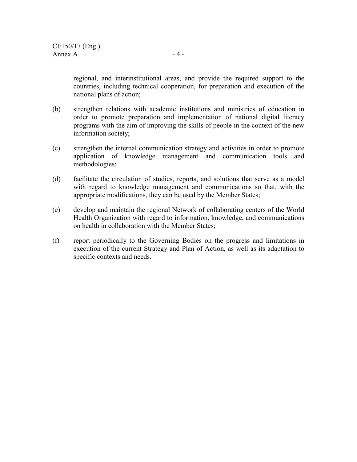regional, and interinstitutional areas, and provide the required support to the countries, including technical cooperation, for preparation and execution of the national plans of action;

- (b) strengthen relations with academic institutions and ministries of education in order to promote preparation and implementation of national digital literacy programs with the aim of improving the skills of people in the context of the new information society;
- (c) strengthen the internal communication strategy and activities in order to promote application of knowledge management and communication tools and methodologies;
- (d) facilitate the circulation of studies, reports, and solutions that serve as a model with regard to knowledge management and communications so that, with the appropriate modifications, they can be used by the Member States;
- (e) develop and maintain the regional Network of collaborating centers of the World Health Organization with regard to information, knowledge, and communications on health in collaboration with the Member States;
- (f) report periodically to the Governing Bodies on the progress and limitations in execution of the current Strategy and Plan of Action, as well as its adaptation to specific contexts and needs.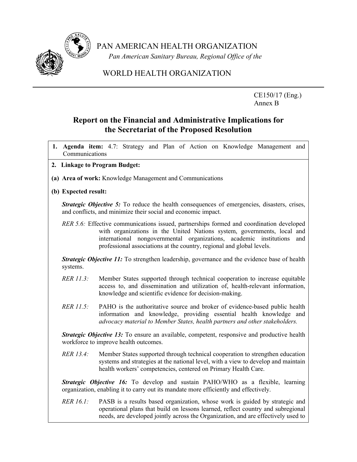

PAN AMERICAN HEALTH ORGANIZATION

 *Pan American Sanitary Bureau, Regional Office of the*

# WORLD HEALTH ORGANIZATION

CE150/17 (Eng.) Annex B

# **Report on the Financial and Administrative Implications for the Secretariat of the Proposed Resolution**

- **1. Agenda item:** 4.7: Strategy and Plan of Action on Knowledge Management and Communications
- **2. Linkage to Program Budget:**
- **(a) Area of work:** Knowledge Management and Communications
- **(b) Expected result:**

*Strategic Objective 5:* To reduce the health consequences of emergencies, disasters, crises, and conflicts, and minimize their social and economic impact.

*RER 5.6:* Effective communications issued, partnerships formed and coordination developed with organizations in the United Nations system, governments, local and international nongovernmental organizations, academic institutions and professional associations at the country, regional and global levels.

*Strategic Objective 11:* To strengthen leadership, governance and the evidence base of health systems.

- *RER 11.3:* Member States supported through technical cooperation to increase equitable access to, and dissemination and utilization of, health-relevant information, knowledge and scientific evidence for decision-making.
- *RER 11.5:* PAHO is the authoritative source and broker of evidence-based public health information and knowledge, providing essential health knowledge and *advocacy material to Member States, health partners and other stakeholders.*

*Strategic Objective 13:* To ensure an available, competent, responsive and productive health workforce to improve health outcomes.

*RER 13.4:* Member States supported through technical cooperation to strengthen education systems and strategies at the national level, with a view to develop and maintain health workers' competencies, centered on Primary Health Care.

*Strategic Objective 16:* To develop and sustain PAHO/WHO as a flexible, learning organization, enabling it to carry out its mandate more efficiently and effectively.

*RER 16.1:* PASB is a results based organization, whose work is guided by strategic and operational plans that build on lessons learned, reflect country and subregional needs, are developed jointly across the Organization, and are effectively used to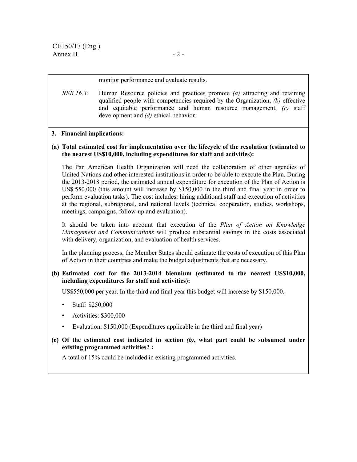#### monitor performance and evaluate results.

*RER 16.3:* Human Resource policies and practices promote *(a)* attracting and retaining qualified people with competencies required by the Organization, *(b)* effective and equitable performance and human resource management, *(c)* staff development and *(d)* ethical behavior.

## **3. Financial implications:**

## **(a) Total estimated cost for implementation over the lifecycle of the resolution (estimated to the nearest US\$10,000, including expenditures for staff and activities):**

The Pan American Health Organization will need the collaboration of other agencies of United Nations and other interested institutions in order to be able to execute the Plan. During the 2013-2018 period, the estimated annual expenditure for execution of the Plan of Action is US\$ 550,000 (this amount will increase by \$150,000 in the third and final year in order to perform evaluation tasks). The cost includes: hiring additional staff and execution of activities at the regional, subregional, and national levels (technical cooperation, studies, workshops, meetings, campaigns, follow-up and evaluation).

It should be taken into account that execution of the *Plan of Action on Knowledge Management and Communications* will produce substantial savings in the costs associated with delivery, organization, and evaluation of health services.

In the planning process, the Member States should estimate the costs of execution of this Plan of Action in their countries and make the budget adjustments that are necessary.

## **(b) Estimated cost for the 2013-2014 biennium (estimated to the nearest US\$10,000, including expenditures for staff and activities):**

US\$550,000 per year. In the third and final year this budget will increase by \$150,000.

- Staff: \$250,000
- Activities: \$300,000
- Evaluation: \$150,000 (Expenditures applicable in the third and final year)

# **(c) Of the estimated cost indicated in section** *(b)***, what part could be subsumed under existing programmed activities? :**

A total of 15% could be included in existing programmed activities.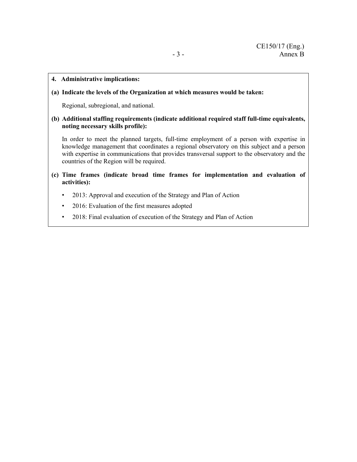#### **4. Administrative implications:**

#### **(a) Indicate the levels of the Organization at which measures would be taken:**

Regional, subregional, and national.

**(b) Additional staffing requirements (indicate additional required staff full-time equivalents, noting necessary skills profile):** 

In order to meet the planned targets, full-time employment of a person with expertise in knowledge management that coordinates a regional observatory on this subject and a person with expertise in communications that provides transversal support to the observatory and the countries of the Region will be required.

- **(c) Time frames (indicate broad time frames for implementation and evaluation of activities):** 
	- 2013: Approval and execution of the Strategy and Plan of Action
	- 2016: Evaluation of the first measures adopted
	- 2018: Final evaluation of execution of the Strategy and Plan of Action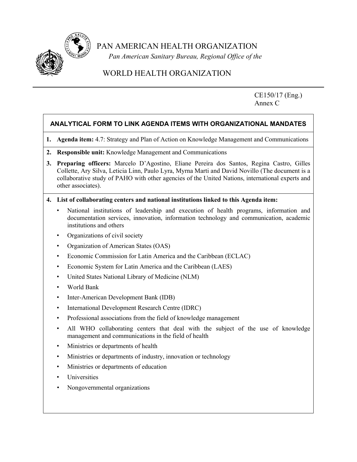

PAN AMERICAN HEALTH ORGANIZATION

 *Pan American Sanitary Bureau, Regional Office of the*

# WORLD HEALTH ORGANIZATION

CE150/17 (Eng.) Annex C

# **ANALYTICAL FORM TO LINK AGENDA ITEMS WITH ORGANIZATIONAL MANDATES**

- **1. Agenda item:** 4.7: Strategy and Plan of Action on Knowledge Management and Communications
- **2. Responsible unit:** Knowledge Management and Communications
- **3. Preparing officers:** Marcelo D'Agostino, Eliane Pereira dos Santos, Regina Castro, Gilles Collette, Ary Silva, Leticia Linn, Paulo Lyra, Myrna Marti and David Novillo (The document is a collaborative study of PAHO with other agencies of the United Nations, international experts and other associates).
- **4. List of collaborating centers and national institutions linked to this Agenda item:** 
	- National institutions of leadership and execution of health programs, information and documentation services, innovation, information technology and communication, academic institutions and others
	- Organizations of civil society
	- Organization of American States (OAS)
	- Economic Commission for Latin America and the Caribbean (ECLAC)
	- Economic System for Latin America and the Caribbean (LAES)
	- United States National Library of Medicine (NLM)
	- World Bank
	- Inter-American Development Bank (IDB)
	- International Development Research Centre (IDRC)
	- Professional associations from the field of knowledge management
	- All WHO collaborating centers that deal with the subject of the use of knowledge management and communications in the field of health
	- Ministries or departments of health
	- Ministries or departments of industry, innovation or technology
	- Ministries or departments of education
	- **Universities**
	- Nongovernmental organizations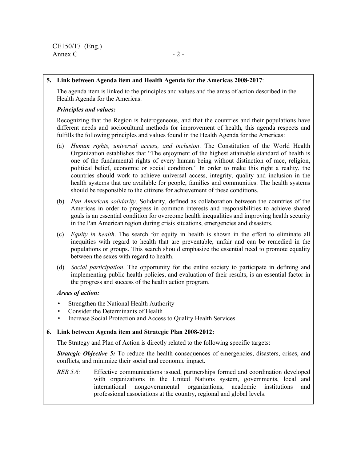## **5. Link between Agenda item and Health Agenda for the Americas 2008-2017**:

The agenda item is linked to the principles and values and the areas of action described in the Health Agenda for the Americas.

#### *Principles and values:*

Recognizing that the Region is heterogeneous, and that the countries and their populations have different needs and sociocultural methods for improvement of health, this agenda respects and fulfills the following principles and values found in the Health Agenda for the Americas:

- (a) *Human rights, universal access, and inclusion*. The Constitution of the World Health Organization establishes that "The enjoyment of the highest attainable standard of health is one of the fundamental rights of every human being without distinction of race, religion, political belief, economic or social condition." In order to make this right a reality, the countries should work to achieve universal access, integrity, quality and inclusion in the health systems that are available for people, families and communities. The health systems should be responsible to the citizens for achievement of these conditions.
- (b) *Pan American solidarity*. Solidarity, defined as collaboration between the countries of the Americas in order to progress in common interests and responsibilities to achieve shared goals is an essential condition for overcome health inequalities and improving health security in the Pan American region during crisis situations, emergencies and disasters.
- (c) *Equity in health*. The search for equity in health is shown in the effort to eliminate all inequities with regard to health that are preventable, unfair and can be remedied in the populations or groups. This search should emphasize the essential need to promote equality between the sexes with regard to health.
- (d) *Social participation*. The opportunity for the entire society to participate in defining and implementing public health policies, and evaluation of their results, is an essential factor in the progress and success of the health action program.

## *Areas of action:*

- Strengthen the National Health Authority
- Consider the Determinants of Health
- Increase Social Protection and Access to Quality Health Services

## **6. Link between Agenda item and Strategic Plan 2008-2012:**

The Strategy and Plan of Action is directly related to the following specific targets:

*Strategic Objective 5:* To reduce the health consequences of emergencies, disasters, crises, and conflicts, and minimize their social and economic impact.

*RER 5.6:* Effective communications issued, partnerships formed and coordination developed with organizations in the United Nations system, governments, local and international nongovernmental organizations, academic institutions and professional associations at the country, regional and global levels.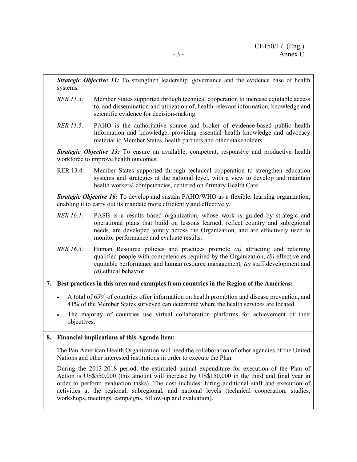*Strategic Objective 11:* To strengthen leadership, governance and the evidence base of health systems.

- *RER 11.3:* Member States supported through technical cooperation to increase equitable access to, and dissemination and utilization of, health-relevant information, knowledge and scientific evidence for decision-making.
- *RER 11.5:* PAHO is the authoritative source and broker of evidence-based public health information and knowledge, providing essential health knowledge and advocacy material to Member States, health partners and other stakeholders.

*Strategic Objective 13:* To ensure an available, competent, responsive and productive health workforce to improve health outcomes.

RER 13.4: Member States supported through technical cooperation to strengthen education systems and strategies at the national level, with a view to develop and maintain health workers' competencies, centered on Primary Health Care.

*Strategic Objective 16:* To develop and sustain PAHO/WHO as a flexible, learning organization, enabling it to carry out its mandate more efficiently and effectively.

- *RER 16.1:* PASB is a results based organization, whose work is guided by strategic and operational plans that build on lessons learned, reflect country and subregional needs, are developed jointly across the Organization, and are effectively used to monitor performance and evaluate results.
- *RER 16.3:* Human Resource policies and practices promote *(a)* attracting and retaining qualified people with competencies required by the Organization, *(b)* effective and equitable performance and human resource management*, (c)* staff development and *(d)* ethical behavior.

# **7. Best practices in this area and examples from countries in the Region of the Americas:**

- A total of 65% of countries offer information on health promotion and disease prevention, and 41% of the Member States surveyed can determine where the health services are located.
- The majority of countries use virtual collaboration platforms for achievement of their objectives.

## **8. Financial implications of this Agenda item:**

The Pan American Health Organization will need the collaboration of other agencies of the United Nations and other interested institutions in order to execute the Plan.

During the 2013-2018 period, the estimated annual expenditure for execution of the Plan of Action is US\$550,000 (this amount will increase by US\$150,000 in the third and final year in order to perform evaluation tasks). The cost includes: hiring additional staff and execution of activities at the regional, subregional, and national levels (technical cooperation, studies, workshops, meetings, campaigns, follow-up and evaluation).